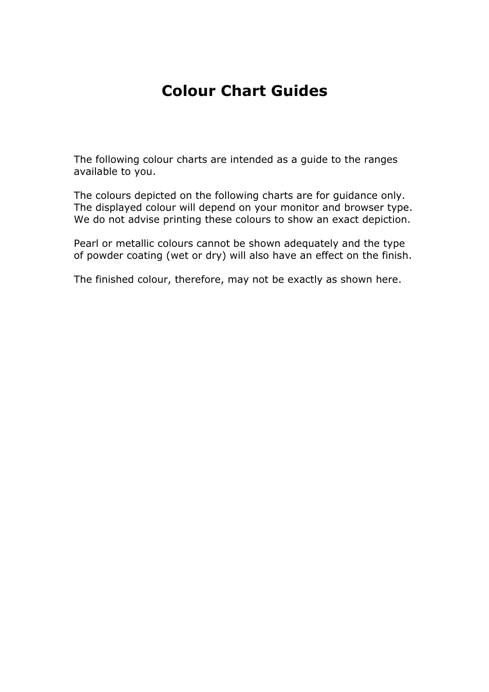## Colour Chart Guides

The following colour charts are intended as a guide to the ranges available to you.

The colours depicted on the following charts are for guidance only. The displayed colour will depend on your monitor and browser type. We do not advise printing these colours to show an exact depiction.

Pearl or metallic colours cannot be shown adequately and the type of powder coating (wet or dry) will also have an effect on the finish.

The finished colour, therefore, may not be exactly as shown here.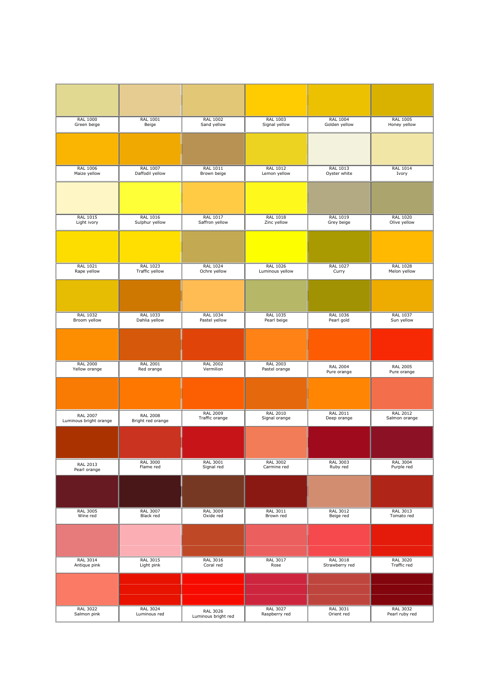| <b>RAL 1000</b>        | <b>RAL 1001</b>   | <b>RAL 1002</b>     | <b>RAL 1003</b> | <b>RAL 1004</b> | <b>RAL 1005</b> |
|------------------------|-------------------|---------------------|-----------------|-----------------|-----------------|
| Green beige            | Beige             | Sand yellow         | Signal yellow   | Golden yellow   | Honey yellow    |
|                        |                   |                     |                 |                 |                 |
| <b>RAL 1006</b>        | <b>RAL 1007</b>   | <b>RAL 1011</b>     | <b>RAL 1012</b> | <b>RAL 1013</b> | <b>RAL 1014</b> |
| Maize yellow           | Daffodil yellow   | Brown beige         | Lemon yellow    | Oyster white    | Ivory           |
|                        |                   |                     |                 |                 |                 |
| RAL 1015               | RAL 1016          | RAL 1017            | <b>RAL 1018</b> | RAL 1019        | <b>RAL 1020</b> |
| Light ivory            | Sulphur yellow    | Saffron yellow      | Zinc yellow     | Grey beige      | Olive yellow    |
|                        |                   |                     |                 |                 |                 |
| RAL 1021               | <b>RAL 1023</b>   | RAL 1024            | RAL 1026        | RAL 1027        | <b>RAL 1028</b> |
| Rape yellow            | Traffic yellow    | Ochre yellow        | Luminous yellow | Curry           | Melon yellow    |
|                        |                   |                     |                 |                 |                 |
| <b>RAL 1032</b>        | <b>RAL 1033</b>   | <b>RAL 1034</b>     | <b>RAL 1035</b> | <b>RAL 1036</b> | <b>RAL 1037</b> |
| Broom yellow           | Dahlia yellow     | Pastel yellow       | Pearl beige     | Pearl gold      | Sun yellow      |
|                        |                   |                     |                 |                 |                 |
| <b>RAL 2000</b>        | <b>RAL 2001</b>   | <b>RAL 2002</b>     | <b>RAL 2003</b> | <b>RAL 2004</b> | <b>RAL 2005</b> |
| Yellow orange          | Red orange        | Vermilion           | Pastel orange   | Pure orange     | Pure orange     |
|                        |                   |                     |                 |                 |                 |
| <b>RAL 2007</b>        | <b>RAL 2008</b>   | <b>RAL 2009</b>     | <b>RAL 2010</b> | <b>RAL 2011</b> | <b>RAL 2012</b> |
| Luminous bright orange | Bright red orange | Traffic orange      | Signal orange   | Deep orange     | Salmon orange   |
|                        |                   |                     |                 |                 |                 |
| <b>RAL 2013</b>        | <b>RAL 3000</b>   | <b>RAL 3001</b>     | <b>RAL 3002</b> | <b>RAL 3003</b> | <b>RAL 3004</b> |
| Pearl orange           | Flame red         | Signal red          | Carmine red     | Ruby red        | Purple red      |
|                        |                   |                     |                 |                 |                 |
| <b>RAL 3005</b>        | <b>RAL 3007</b>   | RAL 3009            | RAL 3011        | RAL 3012        | RAL 3013        |
| Wine red               | Black red         | Oxide red           | Brown red       | Beige red       | Tomato red      |
|                        |                   |                     |                 |                 |                 |
| <b>RAL 3014</b>        | <b>RAL 3015</b>   | <b>RAL 3016</b>     | <b>RAL 3017</b> | <b>RAL 3018</b> | <b>RAL 3020</b> |
| Antique pink           | Light pink        | Coral red           | Rose            | Strawberry red  | Traffic red     |
|                        |                   |                     |                 |                 |                 |
| <b>RAL 3022</b>        | <b>RAL 3024</b>   | RAL 3026            | <b>RAL 3027</b> | <b>RAL 3031</b> | <b>RAL 3032</b> |
| Salmon pink            | Luminous red      | Luminous bright red | Raspberry red   | Orient red      | Pearl ruby red  |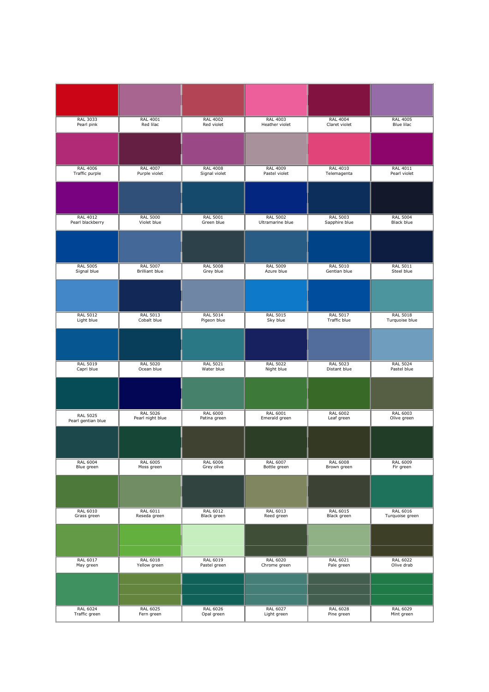| <b>RAL 3033</b>                       | <b>RAL 4001</b>                  | <b>RAL 4002</b>                  | <b>RAL 4003</b>                     | <b>RAL 4004</b>                 | <b>RAL 4005</b>                   |
|---------------------------------------|----------------------------------|----------------------------------|-------------------------------------|---------------------------------|-----------------------------------|
| Pearl pink                            | Red lilac                        | Red violet                       | Heather violet                      | Claret violet                   | Blue lilac                        |
|                                       |                                  |                                  |                                     |                                 |                                   |
|                                       |                                  |                                  |                                     |                                 |                                   |
|                                       |                                  |                                  |                                     |                                 |                                   |
| <b>RAL 4006</b><br>Traffic purple     | <b>RAL 4007</b><br>Purple violet | <b>RAL 4008</b><br>Signal violet | <b>RAL 4009</b><br>Pastel violet    | RAL 4010<br>Telemagenta         | RAL 4011<br>Pearl violet          |
|                                       |                                  |                                  |                                     |                                 |                                   |
|                                       |                                  |                                  |                                     |                                 |                                   |
|                                       |                                  |                                  |                                     |                                 |                                   |
| <b>RAL 4012</b><br>Pearl blackberry   | <b>RAL 5000</b><br>Violet blue   | <b>RAL 5001</b><br>Green blue    | <b>RAL 5002</b><br>Ultramarine blue | RAL 5003<br>Sapphire blue       | <b>RAL 5004</b><br>Black blue     |
|                                       |                                  |                                  |                                     |                                 |                                   |
|                                       |                                  |                                  |                                     |                                 |                                   |
|                                       |                                  |                                  |                                     |                                 |                                   |
| <b>RAL 5005</b>                       | <b>RAL 5007</b>                  | <b>RAL 5008</b>                  | <b>RAL 5009</b>                     | <b>RAL 5010</b>                 | <b>RAL 5011</b>                   |
| Signal blue                           | <b>Brilliant blue</b>            | Grey blue                        | Azure blue                          | Gentian blue                    | Steel blue                        |
|                                       |                                  |                                  |                                     |                                 |                                   |
|                                       |                                  |                                  |                                     |                                 |                                   |
|                                       |                                  |                                  |                                     |                                 |                                   |
| <b>RAL 5012</b><br>Light blue         | <b>RAL 5013</b><br>Cobalt blue   | <b>RAL 5014</b><br>Pigeon blue   | <b>RAL 5015</b><br>Sky blue         | <b>RAL 5017</b><br>Traffic blue | <b>RAL 5018</b><br>Turquoise blue |
|                                       |                                  |                                  |                                     |                                 |                                   |
|                                       |                                  |                                  |                                     |                                 |                                   |
|                                       |                                  |                                  |                                     |                                 |                                   |
| <b>RAL 5019</b><br>Capri blue         | <b>RAL 5020</b><br>Ocean blue    | <b>RAL 5021</b><br>Water blue    | <b>RAL 5022</b><br>Night blue       | <b>RAL 5023</b><br>Distant blue | <b>RAL 5024</b><br>Pastel blue    |
|                                       |                                  |                                  |                                     |                                 |                                   |
|                                       |                                  |                                  |                                     |                                 |                                   |
|                                       |                                  |                                  |                                     |                                 |                                   |
|                                       | <b>RAL 5026</b>                  | <b>RAL 6000</b>                  | <b>RAL 6001</b>                     | <b>RAL 6002</b>                 | <b>RAL 6003</b>                   |
| <b>RAL 5025</b><br>Pearl gentian blue | Pearl night blue                 | Patina green                     | Emerald green                       | Leaf green                      | Olive green                       |
|                                       |                                  |                                  |                                     |                                 |                                   |
|                                       |                                  |                                  |                                     |                                 |                                   |
|                                       |                                  |                                  |                                     |                                 |                                   |
| <b>RAL 6004</b><br>Blue green         | <b>RAL 6005</b><br>Moss green    | <b>RAL 6006</b><br>Grey olive    | <b>RAL 6007</b><br>Bottle green     | <b>RAL 6008</b><br>Brown green  | <b>RAL 6009</b><br>Fir green      |
|                                       |                                  |                                  |                                     |                                 |                                   |
|                                       |                                  |                                  |                                     |                                 |                                   |
|                                       |                                  |                                  |                                     |                                 |                                   |
| RAL 6010                              | RAL 6011                         | <b>RAL 6012</b>                  | RAL 6013                            | RAL 6015                        | <b>RAL 6016</b>                   |
| Grass green                           | Reseda green                     | Black green                      | Reed green                          | Black green                     | Turquoise green                   |
|                                       |                                  |                                  |                                     |                                 |                                   |
|                                       |                                  |                                  |                                     |                                 |                                   |
| <b>RAL 6017</b>                       | <b>RAL 6018</b>                  | <b>RAL 6019</b>                  | <b>RAL 6020</b>                     | <b>RAL 6021</b>                 | <b>RAL 6022</b>                   |
| May green                             | Yellow green                     | Pastel green                     | Chrome green                        | Pale green                      | Olive drab                        |
|                                       |                                  |                                  |                                     |                                 |                                   |
|                                       |                                  |                                  |                                     |                                 |                                   |
|                                       |                                  |                                  |                                     |                                 |                                   |
| <b>RAL 6024</b><br>Traffic green      | <b>RAL 6025</b><br>Fern green    | <b>RAL 6026</b><br>Opal green    | <b>RAL 6027</b><br>Light green      | <b>RAL 6028</b><br>Pine green   | <b>RAL 6029</b><br>Mint green     |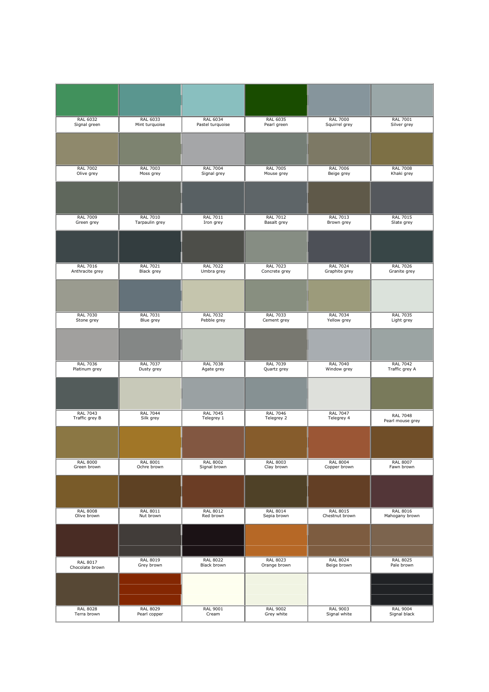| RAL 6032        | RAL 6033        | <b>RAL 6034</b>  | <b>RAL 6035</b> | <b>RAL 7000</b> | <b>RAL 7001</b>  |
|-----------------|-----------------|------------------|-----------------|-----------------|------------------|
| Signal green    | Mint turquoise  | Pastel turquoise | Pearl green     | Squirrel grey   | Silver grey      |
|                 |                 |                  |                 |                 |                  |
| <b>RAL 7002</b> | <b>RAL 7003</b> | <b>RAL 7004</b>  | <b>RAL 7005</b> | <b>RAL 7006</b> | <b>RAL 7008</b>  |
| Olive grey      | Moss grey       | Signal grey      | Mouse grey      | Beige grey      | Khaki grey       |
|                 |                 |                  |                 |                 |                  |
| <b>RAL 7009</b> | <b>RAL 7010</b> | RAL 7011         | <b>RAL 7012</b> | RAL 7013        | <b>RAL 7015</b>  |
| Green grey      | Tarpaulin grey  | Iron grey        | Basalt grey     | Brown grey      | Slate grey       |
|                 |                 |                  |                 |                 |                  |
| <b>RAL 7016</b> | <b>RAL 7021</b> | <b>RAL 7022</b>  | <b>RAL 7023</b> | <b>RAL 7024</b> | <b>RAL 7026</b>  |
| Anthracite grey | Black grey      | Umbra grey       | Concrete grey   | Graphite grey   | Granite grey     |
|                 |                 |                  |                 |                 |                  |
| <b>RAL 7030</b> | <b>RAL 7031</b> | <b>RAL 7032</b>  | <b>RAL 7033</b> | <b>RAL 7034</b> | <b>RAL 7035</b>  |
| Stone grey      | Blue grey       | Pebble grey      | Cement grey     | Yellow grey     | Light grey       |
|                 |                 |                  |                 |                 |                  |
| <b>RAL 7036</b> | <b>RAL 7037</b> | <b>RAL 7038</b>  | <b>RAL 7039</b> | <b>RAL 7040</b> | <b>RAL 7042</b>  |
| Platinum grey   | Dusty grey      | Agate grey       | Quartz grey     | Window grey     | Traffic grey A   |
|                 |                 |                  |                 |                 |                  |
| <b>RAL 7043</b> | <b>RAL 7044</b> | <b>RAL 7045</b>  | <b>RAL 7046</b> | <b>RAL 7047</b> | <b>RAL 7048</b>  |
| Traffic grey B  | Silk grey       | Telegrey 1       | Telegrey 2      | Telegrey 4      | Pearl mouse grey |
|                 |                 |                  |                 |                 |                  |
| <b>RAL 8000</b> | <b>RAL 8001</b> | <b>RAL 8002</b>  | <b>RAL 8003</b> | <b>RAL 8004</b> | <b>RAL 8007</b>  |
| Green brown     | Ochre brown     | Signal brown     | Clay brown      | Copper brown    | Fawn brown       |
|                 |                 |                  |                 |                 |                  |
| <b>RAL 8008</b> | RAL 8011        | <b>RAL 8012</b>  | <b>RAL 8014</b> | RAL 8015        | <b>RAL 8016</b>  |
| Olive brown     | Nut brown       | Red brown        | Sepia brown     | Chestnut brown  | Mahogany brown   |
|                 |                 |                  |                 |                 |                  |
| RAL 8017        | <b>RAL 8019</b> | <b>RAL 8022</b>  | <b>RAL 8023</b> | <b>RAL 8024</b> | <b>RAL 8025</b>  |
| Chocolate brown | Grey brown      | Black brown      | Orange brown    | Beige brown     | Pale brown       |
|                 |                 |                  |                 |                 |                  |
| <b>RAL 8028</b> | <b>RAL 8029</b> | <b>RAL 9001</b>  | <b>RAL 9002</b> | <b>RAL 9003</b> | <b>RAL 9004</b>  |
| Terra brown     | Pearl copper    | Cream            | Grey white      | Signal white    | Signal black     |